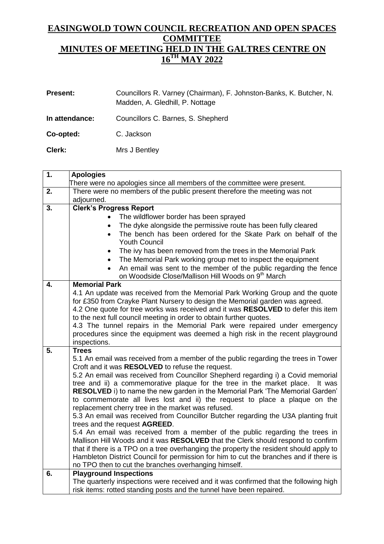## **EASINGWOLD TOWN COUNCIL RECREATION AND OPEN SPACES COMMITTEE MINUTES OF MEETING HELD IN THE GALTRES CENTRE ON 16TH MAY 2022**

| <b>Present:</b> | Councillors R. Varney (Chairman), F. Johnston-Banks, K. Butcher, N.<br>Madden, A. Gledhill, P. Nottage |
|-----------------|--------------------------------------------------------------------------------------------------------|
| In attendance:  | Councillors C. Barnes, S. Shepherd                                                                     |
| Co-opted:       | C. Jackson                                                                                             |
| Clerk:          | Mrs J Bentley                                                                                          |

| 1.               | <b>Apologies</b>                                                                               |  |
|------------------|------------------------------------------------------------------------------------------------|--|
|                  | There were no apologies since all members of the committee were present.                       |  |
| $\overline{2}$ . | There were no members of the public present therefore the meeting was not                      |  |
|                  | adjourned.                                                                                     |  |
| 3.               | <b>Clerk's Progress Report</b>                                                                 |  |
|                  | The wildflower border has been sprayed                                                         |  |
|                  | The dyke alongside the permissive route has been fully cleared<br>$\bullet$                    |  |
|                  | The bench has been ordered for the Skate Park on behalf of the<br>$\bullet$                    |  |
|                  | <b>Youth Council</b>                                                                           |  |
|                  | The ivy has been removed from the trees in the Memorial Park                                   |  |
|                  | The Memorial Park working group met to inspect the equipment                                   |  |
|                  | An email was sent to the member of the public regarding the fence<br>$\bullet$                 |  |
|                  | on Woodside Close/Mallison Hill Woods on 9 <sup>th</sup> March                                 |  |
| 4.               | <b>Memorial Park</b>                                                                           |  |
|                  | 4.1 An update was received from the Memorial Park Working Group and the quote                  |  |
|                  | for £350 from Crayke Plant Nursery to design the Memorial garden was agreed.                   |  |
|                  | 4.2 One quote for tree works was received and it was RESOLVED to defer this item               |  |
|                  | to the next full council meeting in order to obtain further quotes.                            |  |
|                  | 4.3 The tunnel repairs in the Memorial Park were repaired under emergency                      |  |
|                  | procedures since the equipment was deemed a high risk in the recent playground<br>inspections. |  |
| 5.               | <b>Trees</b>                                                                                   |  |
|                  | 5.1 An email was received from a member of the public regarding the trees in Tower             |  |
|                  | Croft and it was RESOLVED to refuse the request.                                               |  |
|                  | 5.2 An email was received from Councillor Shepherd regarding i) a Covid memorial               |  |
|                  | tree and ii) a commemorative plaque for the tree in the market place.<br>It was                |  |
|                  | RESOLVED i) to name the new garden in the Memorial Park 'The Memorial Garden'                  |  |
|                  | to commemorate all lives lost and ii) the request to place a plaque on the                     |  |
|                  | replacement cherry tree in the market was refused.                                             |  |
|                  | 5.3 An email was received from Councillor Butcher regarding the U3A planting fruit             |  |
|                  | trees and the request AGREED.                                                                  |  |
|                  | 5.4 An email was received from a member of the public regarding the trees in                   |  |
|                  | Mallison Hill Woods and it was RESOLVED that the Clerk should respond to confirm               |  |
|                  | that if there is a TPO on a tree overhanging the property the resident should apply to         |  |
|                  | Hambleton District Council for permission for him to cut the branches and if there is          |  |
| 6.               | no TPO then to cut the branches overhanging himself.<br><b>Playground Inspections</b>          |  |
|                  | The quarterly inspections were received and it was confirmed that the following high           |  |
|                  | risk items: rotted standing posts and the tunnel have been repaired.                           |  |
|                  |                                                                                                |  |